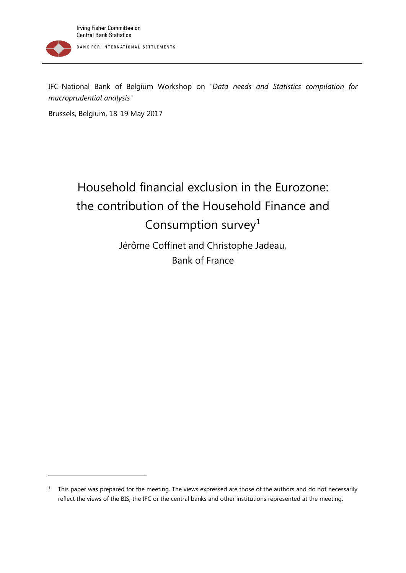IFC-National Bank of Belgium Workshop on *"Data needs and Statistics compilation for macroprudential analysis"*

Brussels, Belgium, 18-19 May 2017

1

# Household financial exclusion in the Eurozone: the contribution of the Household Finance and Consumption survey<sup>[1](#page-0-0)</sup>

Jérôme Coffinet and Christophe Jadeau, Bank of France

<span id="page-0-0"></span><sup>&</sup>lt;sup>1</sup> This paper was prepared for the meeting. The views expressed are those of the authors and do not necessarily reflect the views of the BIS, the IFC or the central banks and other institutions represented at the meeting.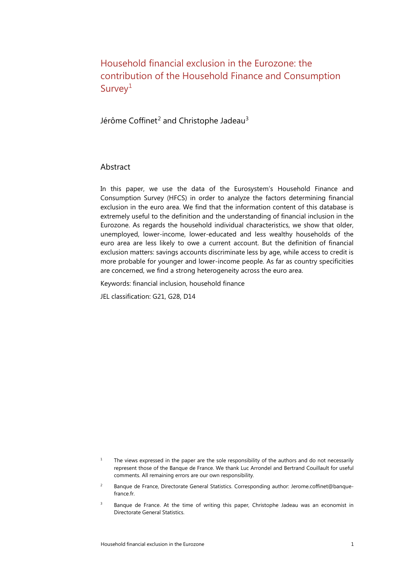Household financial exclusion in the Eurozone: the contribution of the Household Finance and Consumption Survey<sup>[1](#page-1-0)</sup>

Jérôme Coffinet<sup>[2](#page-1-1)</sup> and Christophe Jadeau<sup>[3](#page-1-2)</sup>

#### Abstract

In this paper, we use the data of the Eurosystem's Household Finance and Consumption Survey (HFCS) in order to analyze the factors determining financial exclusion in the euro area. We find that the information content of this database is extremely useful to the definition and the understanding of financial inclusion in the Eurozone. As regards the household individual characteristics, we show that older, unemployed, lower-income, lower-educated and less wealthy households of the euro area are less likely to owe a current account. But the definition of financial exclusion matters: savings accounts discriminate less by age, while access to credit is more probable for younger and lower-income people. As far as country specificities are concerned, we find a strong heterogeneity across the euro area.

Keywords: financial inclusion, household finance

JEL classification: G21, G28, D14

<span id="page-1-0"></span><sup>&</sup>lt;sup>1</sup> The views expressed in the paper are the sole responsibility of the authors and do not necessarily represent those of the Banque de France. We thank Luc Arrondel and Bertrand Couillault for useful comments. All remaining errors are our own responsibility.

<span id="page-1-1"></span><sup>2</sup> Banque de France, Directorate General Statistics. Corresponding author: Jerome.coffinet@banquefrance.fr.

<span id="page-1-2"></span><sup>&</sup>lt;sup>3</sup> Banque de France. At the time of writing this paper, Christophe Jadeau was an economist in Directorate General Statistics.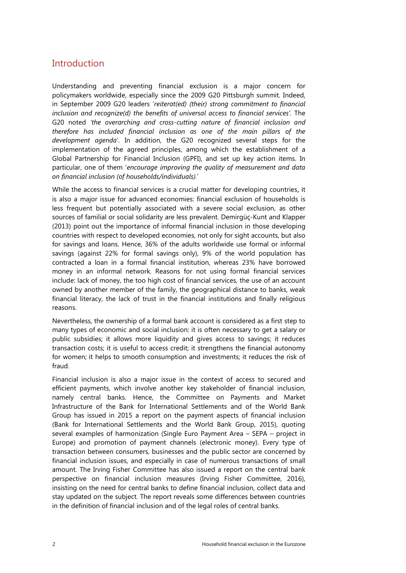### **Introduction**

Understanding and preventing financial exclusion is a major concern for policymakers worldwide, especially since the 2009 G20 Pittsburgh summit. Indeed, in September 2009 G20 leaders '*reiterat(ed) (their) strong commitment to financial inclusion and recognize(d) the benefits of universal access to financial services'.* The G20 noted *'the overarching and cross-cutting nature of financial inclusion and therefore has included financial inclusion as one of the main pillars of the development agenda*'. In addition, the G20 recognized several steps for the implementation of the agreed principles, among which the establishment of a Global Partnership for Financial Inclusion (GPFI), and set up key action items. In particular, one of them '*encourage improving the quality of measurement and data on financial inclusion (of households/individuals).*'

While the access to financial services is a crucial matter for developing countries, it is also a major issue for advanced economies: financial exclusion of households is less frequent but potentially associated with a severe social exclusion, as other sources of familial or social solidarity are less prevalent. Demirgüç-Kunt and Klapper (2013) point out the importance of informal financial inclusion in those developing countries with respect to developed economies, not only for sight accounts, but also for savings and loans. Hence, 36% of the adults worldwide use formal or informal savings (against 22% for formal savings only), 9% of the world population has contracted a loan in a formal financial institution, whereas 23% have borrowed money in an informal network. Reasons for not using formal financial services include: lack of money, the too high cost of financial services, the use of an account owned by another member of the family, the geographical distance to banks, weak financial literacy, the lack of trust in the financial institutions and finally religious reasons.

Nevertheless, the ownership of a formal bank account is considered as a first step to many types of economic and social inclusion: it is often necessary to get a salary or public subsidies; it allows more liquidity and gives access to savings; it reduces transaction costs; it is useful to access credit; it strengthens the financial autonomy for women; it helps to smooth consumption and investments; it reduces the risk of fraud.

Financial inclusion is also a major issue in the context of access to secured and efficient payments, which involve another key stakeholder of financial inclusion, namely central banks. Hence, the Committee on Payments and Market Infrastructure of the Bank for International Settlements and of the World Bank Group has issued in 2015 a report on the payment aspects of financial inclusion (Bank for International Settlements and the World Bank Group, 2015), quoting several examples of harmonization (Single Euro Payment Area – SEPA – project in Europe) and promotion of payment channels (electronic money). Every type of transaction between consumers, businesses and the public sector are concerned by financial inclusion issues, and especially in case of numerous transactions of small amount. The Irving Fisher Committee has also issued a report on the central bank perspective on financial inclusion measures (Irving Fisher Committee, 2016), insisting on the need for central banks to define financial inclusion, collect data and stay updated on the subject. The report reveals some differences between countries in the definition of financial inclusion and of the legal roles of central banks.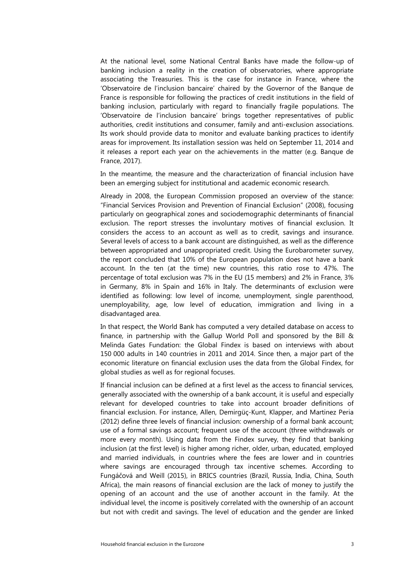At the national level, some National Central Banks have made the follow-up of banking inclusion a reality in the creation of observatories, where appropriate associating the Treasuries. This is the case for instance in France, where the 'Observatoire de l'inclusion bancaire' chaired by the Governor of the Banque de France is responsible for following the practices of credit institutions in the field of banking inclusion, particularly with regard to financially fragile populations. The 'Observatoire de l'inclusion bancaire' brings together representatives of public authorities, credit institutions and consumer, family and anti-exclusion associations. Its work should provide data to monitor and evaluate banking practices to identify areas for improvement. Its installation session was held on September 11, 2014 and it releases a report each year on the achievements in the matter (e.g. Banque de France, 2017).

In the meantime, the measure and the characterization of financial inclusion have been an emerging subject for institutional and academic economic research.

Already in 2008, the European Commission proposed an overview of the stance: "Financial Services Provision and Prevention of Financial Exclusion" (2008), focusing particularly on geographical zones and sociodemographic determinants of financial exclusion. The report stresses the involuntary motives of financial exclusion. It considers the access to an account as well as to credit, savings and insurance. Several levels of access to a bank account are distinguished, as well as the difference between appropriated and unappropriated credit. Using the Eurobarometer survey, the report concluded that 10% of the European population does not have a bank account. In the ten (at the time) new countries, this ratio rose to 47%. The percentage of total exclusion was 7% in the EU (15 members) and 2% in France, 3% in Germany, 8% in Spain and 16% in Italy. The determinants of exclusion were identified as following: low level of income, unemployment, single parenthood, unemployability, age, low level of education, immigration and living in a disadvantaged area.

In that respect, the World Bank has computed a very detailed database on access to finance, in partnership with the Gallup World Poll and sponsored by the Bill & Melinda Gates Fundation: the Global Findex is based on interviews with about 150 000 adults in 140 countries in 2011 and 2014. Since then, a major part of the economic literature on financial exclusion uses the data from the Global Findex, for global studies as well as for regional focuses.

If financial inclusion can be defined at a first level as the access to financial services, generally associated with the ownership of a bank account, it is useful and especially relevant for developed countries to take into account broader definitions of financial exclusion. For instance, Allen, Demirgüç-Kunt, Klapper, and Martinez Peria (2012) define three levels of financial inclusion: ownership of a formal bank account; use of a formal savings account; frequent use of the account (three withdrawals or more every month). Using data from the Findex survey, they find that banking inclusion (at the first level) is higher among richer, older, urban, educated, employed and married individuals, in countries where the fees are lower and in countries where savings are encouraged through tax incentive schemes. According to Fungáčová and Weill (2015), in BRICS countries (Brazil, Russia, India, China, South Africa), the main reasons of financial exclusion are the lack of money to justify the opening of an account and the use of another account in the family. At the individual level, the income is positively correlated with the ownership of an account but not with credit and savings. The level of education and the gender are linked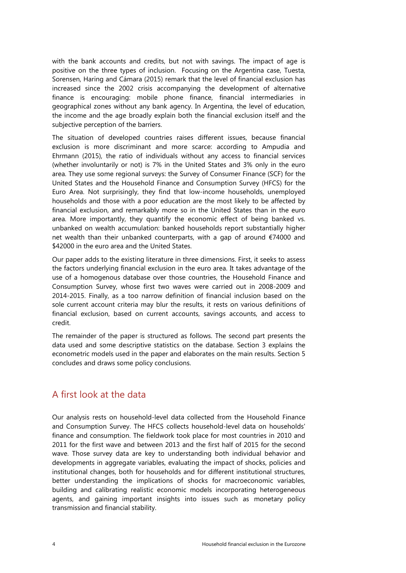with the bank accounts and credits, but not with savings. The impact of age is positive on the three types of inclusion. Focusing on the Argentina case, Tuesta, Sorensen, Haring and Cámara (2015) remark that the level of financial exclusion has increased since the 2002 crisis accompanying the development of alternative finance is encouraging: mobile phone finance, financial intermediaries in geographical zones without any bank agency. In Argentina, the level of education, the income and the age broadly explain both the financial exclusion itself and the subjective perception of the barriers.

The situation of developed countries raises different issues, because financial exclusion is more discriminant and more scarce: according to Ampudia and Ehrmann (2015), the ratio of individuals without any access to financial services (whether involuntarily or not) is 7% in the United States and 3% only in the euro area. They use some regional surveys: the Survey of Consumer Finance (SCF) for the United States and the Household Finance and Consumption Survey (HFCS) for the Euro Area. Not surprisingly, they find that low-income households, unemployed households and those with a poor education are the most likely to be affected by financial exclusion, and remarkably more so in the United States than in the euro area. More importantly, they quantify the economic effect of being banked vs. unbanked on wealth accumulation: banked households report substantially higher net wealth than their unbanked counterparts, with a gap of around €74000 and \$42000 in the euro area and the United States.

Our paper adds to the existing literature in three dimensions. First, it seeks to assess the factors underlying financial exclusion in the euro area. It takes advantage of the use of a homogenous database over those countries, the Household Finance and Consumption Survey, whose first two waves were carried out in 2008-2009 and 2014-2015. Finally, as a too narrow definition of financial inclusion based on the sole current account criteria may blur the results, it rests on various definitions of financial exclusion, based on current accounts, savings accounts, and access to credit.

The remainder of the paper is structured as follows. The second part presents the data used and some descriptive statistics on the database. Section 3 explains the econometric models used in the paper and elaborates on the main results. Section 5 concludes and draws some policy conclusions.

### A first look at the data

Our analysis rests on household-level data collected from the Household Finance and Consumption Survey. The HFCS collects household-level data on households' finance and consumption. The fieldwork took place for most countries in 2010 and 2011 for the first wave and between 2013 and the first half of 2015 for the second wave. Those survey data are key to understanding both individual behavior and developments in aggregate variables, evaluating the impact of shocks, policies and institutional changes, both for households and for different institutional structures, better understanding the implications of shocks for macroeconomic variables, building and calibrating realistic economic models incorporating heterogeneous agents, and gaining important insights into issues such as monetary policy transmission and financial stability.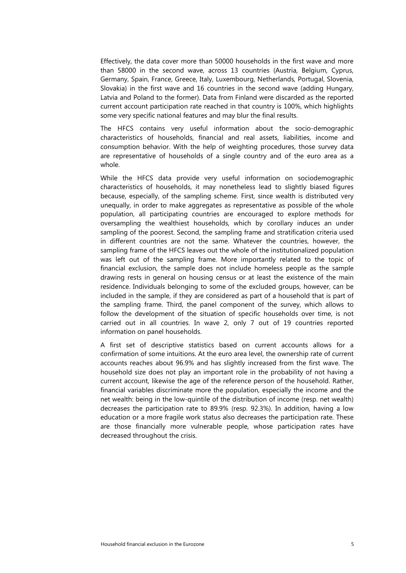Effectively, the data cover more than 50000 households in the first wave and more than 58000 in the second wave, across 13 countries (Austria, Belgium, Cyprus, Germany, Spain, France, Greece, Italy, Luxembourg, Netherlands, Portugal, Slovenia, Slovakia) in the first wave and 16 countries in the second wave (adding Hungary, Latvia and Poland to the former). Data from Finland were discarded as the reported current account participation rate reached in that country is 100%, which highlights some very specific national features and may blur the final results.

The HFCS contains very useful information about the socio-demographic characteristics of households, financial and real assets, liabilities, income and consumption behavior. With the help of weighting procedures, those survey data are representative of households of a single country and of the euro area as a whole.

While the HFCS data provide very useful information on sociodemographic characteristics of households, it may nonetheless lead to slightly biased figures because, especially, of the sampling scheme. First, since wealth is distributed very unequally, in order to make aggregates as representative as possible of the whole population, all participating countries are encouraged to explore methods for oversampling the wealthiest households, which by corollary induces an under sampling of the poorest. Second, the sampling frame and stratification criteria used in different countries are not the same. Whatever the countries, however, the sampling frame of the HFCS leaves out the whole of the institutionalized population was left out of the sampling frame. More importantly related to the topic of financial exclusion, the sample does not include homeless people as the sample drawing rests in general on housing census or at least the existence of the main residence. Individuals belonging to some of the excluded groups, however, can be included in the sample, if they are considered as part of a household that is part of the sampling frame. Third, the panel component of the survey, which allows to follow the development of the situation of specific households over time, is not carried out in all countries. In wave 2, only 7 out of 19 countries reported information on panel households.

A first set of descriptive statistics based on current accounts allows for a confirmation of some intuitions. At the euro area level, the ownership rate of current accounts reaches about 96.9% and has slightly increased from the first wave. The household size does not play an important role in the probability of not having a current account, likewise the age of the reference person of the household. Rather, financial variables discriminate more the population, especially the income and the net wealth: being in the low-quintile of the distribution of income (resp. net wealth) decreases the participation rate to 89.9% (resp. 92.3%). In addition, having a low education or a more fragile work status also decreases the participation rate. These are those financially more vulnerable people, whose participation rates have decreased throughout the crisis.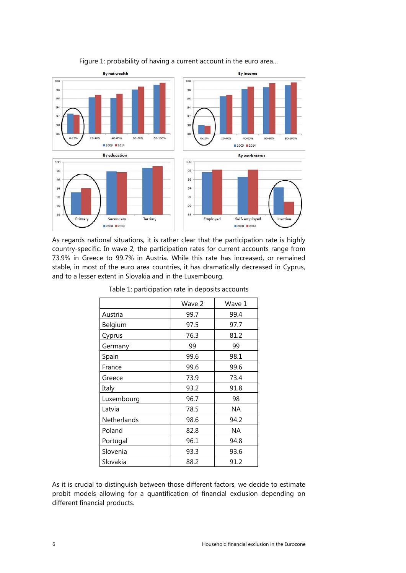

Figure 1: probability of having a current account in the euro area…

As regards national situations, it is rather clear that the participation rate is highly country-specific. In wave 2, the participation rates for current accounts range from 73.9% in Greece to 99.7% in Austria. While this rate has increased, or remained stable, in most of the euro area countries, it has dramatically decreased in Cyprus, and to a lesser extent in Slovakia and in the Luxembourg.

|                    | Wave 2 | Wave 1 |  |
|--------------------|--------|--------|--|
| Austria            | 99.7   | 99.4   |  |
| Belgium            | 97.5   | 97.7   |  |
| Cyprus             | 76.3   | 81.2   |  |
| Germany            | 99     | 99     |  |
| Spain              | 99.6   | 98.1   |  |
| France             | 99.6   | 99.6   |  |
| Greece             | 73.9   | 73.4   |  |
| Italy              | 93.2   | 91.8   |  |
| Luxembourg         | 96.7   | 98     |  |
| Latvia             | 78.5   | ΝA     |  |
| <b>Netherlands</b> | 98.6   | 94.2   |  |
| Poland             | 82.8   | ΝA     |  |
| Portugal           | 96.1   | 94.8   |  |
| Slovenia           | 93.3   | 93.6   |  |
| Slovakia           | 88.2   | 91.2   |  |

Table 1: participation rate in deposits accounts

As it is crucial to distinguish between those different factors, we decide to estimate probit models allowing for a quantification of financial exclusion depending on different financial products.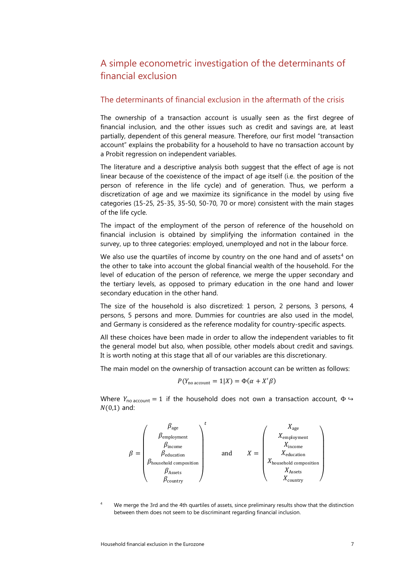### A simple econometric investigation of the determinants of financial exclusion

#### The determinants of financial exclusion in the aftermath of the crisis

The ownership of a transaction account is usually seen as the first degree of financial inclusion, and the other issues such as credit and savings are, at least partially, dependent of this general measure. Therefore, our first model "transaction account" explains the probability for a household to have no transaction account by a Probit regression on independent variables.

The literature and a descriptive analysis both suggest that the effect of age is not linear because of the coexistence of the impact of age itself (i.e. the position of the person of reference in the life cycle) and of generation. Thus, we perform a discretization of age and we maximize its significance in the model by using five categories (15-25, 25-35, 35-50, 50-70, 70 or more) consistent with the main stages of the life cycle.

The impact of the employment of the person of reference of the household on financial inclusion is obtained by simplifying the information contained in the survey, up to three categories: employed, unemployed and not in the labour force.

We also use the quartiles of income by country on the one hand and of assets<sup>[4](#page-7-0)</sup> on the other to take into account the global financial wealth of the household. For the level of education of the person of reference, we merge the upper secondary and the tertiary levels, as opposed to primary education in the one hand and lower secondary education in the other hand.

The size of the household is also discretized: 1 person, 2 persons, 3 persons, 4 persons, 5 persons and more. Dummies for countries are also used in the model, and Germany is considered as the reference modality for country-specific aspects.

All these choices have been made in order to allow the independent variables to fit the general model but also, when possible, other models about credit and savings. It is worth noting at this stage that all of our variables are this discretionary.

The main model on the ownership of transaction account can be written as follows:

$$
P(Y_{\text{no account}} = 1|X) = \Phi(\alpha + X'\beta)
$$

Where  $Y_{\text{no account}} = 1$  if the household does not own a transaction account,  $\Phi \hookrightarrow$  $N(0,1)$  and:



<span id="page-7-0"></span>We merge the 3rd and the 4th quartiles of assets, since preliminary results show that the distinction between them does not seem to be discriminant regarding financial inclusion.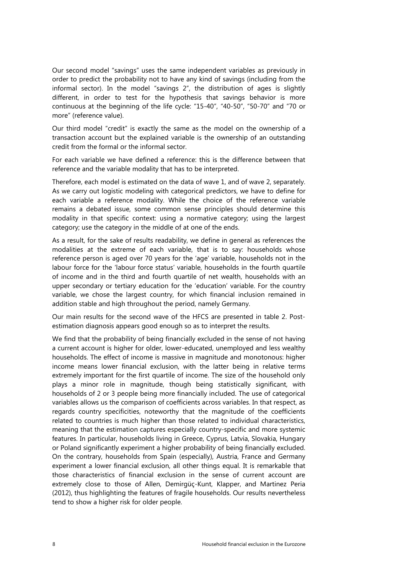Our second model "savings" uses the same independent variables as previously in order to predict the probability not to have any kind of savings (including from the informal sector). In the model "savings 2", the distribution of ages is slightly different, in order to test for the hypothesis that savings behavior is more continuous at the beginning of the life cycle: "15-40", "40-50", "50-70" and "70 or more" (reference value).

Our third model "credit" is exactly the same as the model on the ownership of a transaction account but the explained variable is the ownership of an outstanding credit from the formal or the informal sector.

For each variable we have defined a reference: this is the difference between that reference and the variable modality that has to be interpreted.

Therefore, each model is estimated on the data of wave 1, and of wave 2, separately. As we carry out logistic modeling with categorical predictors, we have to define for each variable a reference modality. While the choice of the reference variable remains a debated issue, some common sense principles should determine this modality in that specific context: using a normative category; using the largest category; use the category in the middle of at one of the ends.

As a result, for the sake of results readability, we define in general as references the modalities at the extreme of each variable, that is to say: households whose reference person is aged over 70 years for the 'age' variable, households not in the labour force for the 'labour force status' variable, households in the fourth quartile of income and in the third and fourth quartile of net wealth, households with an upper secondary or tertiary education for the 'education' variable. For the country variable, we chose the largest country, for which financial inclusion remained in addition stable and high throughout the period, namely Germany.

Our main results for the second wave of the HFCS are presented in table 2. Postestimation diagnosis appears good enough so as to interpret the results.

We find that the probability of being financially excluded in the sense of not having a current account is higher for older, lower-educated, unemployed and less wealthy households. The effect of income is massive in magnitude and monotonous: higher income means lower financial exclusion, with the latter being in relative terms extremely important for the first quartile of income. The size of the household only plays a minor role in magnitude, though being statistically significant, with households of 2 or 3 people being more financially included. The use of categorical variables allows us the comparison of coefficients across variables. In that respect, as regards country specificities, noteworthy that the magnitude of the coefficients related to countries is much higher than those related to individual characteristics, meaning that the estimation captures especially country-specific and more systemic features. In particular, households living in Greece, Cyprus, Latvia, Slovakia, Hungary or Poland significantly experiment a higher probability of being financially excluded. On the contrary, households from Spain (especially), Austria, France and Germany experiment a lower financial exclusion, all other things equal. It is remarkable that those characteristics of financial exclusion in the sense of current account are extremely close to those of Allen, Demirgüç-Kunt, Klapper, and Martinez Peria (2012), thus highlighting the features of fragile households. Our results nevertheless tend to show a higher risk for older people.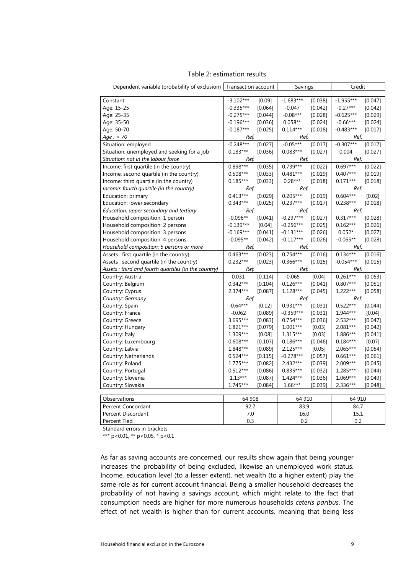| Dependent variable (probability of exclusion) Transaction account |             |         | Savings     |         | Credit      |           |  |
|-------------------------------------------------------------------|-------------|---------|-------------|---------|-------------|-----------|--|
|                                                                   |             |         |             |         |             |           |  |
| Constant                                                          | $-3.102***$ | [0.09]  | $-1.683***$ | [0.038] | $-1.955***$ | [0.047]   |  |
| Age: 15-25                                                        | $-0.335***$ | [0.064] | $-0.047$    | [0.042] | $-0.27***$  | [0.042]   |  |
| Age: 25-35                                                        | $-0.275***$ | [0.044] | $-0.08***$  | [0.028] | $-0.625***$ | [0.029]   |  |
| Age: 35-50                                                        | $-0.196***$ | [0.036] | $0.058**$   | [0.024] | $-0.66***$  | [0.024]   |  |
| Age: 50-70                                                        | $-0.187***$ | [0.025] | $0.114***$  | [0.018] | $-0.483***$ | [0.017]   |  |
| Age: > 70                                                         | Ref.        |         | Ref.        |         | Ref.        |           |  |
| Situation: employed                                               | $-0.248***$ | [0.027] | $-0.05***$  | [0.017] | $-0.307***$ | [0.017]   |  |
| Situation: unemployed and seeking for a job                       | $0.183***$  | [0.036] | $0.083***$  | [0.027] | 0.004       | [0.027]   |  |
| Situation: not in the labour force                                | Ref.        |         | Ref.        |         | Ref.        |           |  |
| Income: first quartile (in the country)                           | 0.898***    | [0.035] | $0.739***$  | [0.022] | $0.697***$  | [0.022]   |  |
| Income: second quartile (in the country)                          | $0.508***$  | [0.033] | $0.481***$  | [0.019] | $0.407***$  | [0.019]   |  |
| Income: third quartile (in the country)                           | $0.185***$  | [0.033] | $0.28***$   | [0.018] | $0.171***$  | [0.018]   |  |
| Income: fourth quartile (in the country)                          | Ref.        |         | Ref.        |         | Ref.        |           |  |
| Education: primary                                                | $0.413***$  | [0.029] | $0.205***$  | [0.019] | $0.604***$  | [0.02]    |  |
| Education: lower secondary                                        | $0.343***$  | [0.025] | $0.237***$  | [0.017] | $0.238***$  | [0.018]   |  |
| Education: upper secondary and tertiary                           | Ref.        |         | Ref.        |         | Ref.        |           |  |
| Household composition: 1 person                                   | $-0.096**$  | [0.041] | $-0.297***$ | [0.027] | $0.317***$  | [0.028]   |  |
| Household composition: 2 persons                                  | $-0.139***$ | [0.04]  | $-0.256***$ | [0.025] | $0.162***$  | [0.026]   |  |
| Household composition: 3 persons                                  | $-0.169***$ | [0.041] | $-0.131***$ | [0.026] | $0.052*$    | [0.027]   |  |
| Household composition: 4 persons                                  | $-0.095**$  | [0.042] | $-0.117***$ | [0.026] | $-0.065**$  | [0.028]   |  |
| Household composition: 5 persons or more                          | Ref.        |         | Ref.        |         | Ref.        |           |  |
| Assets : first quartile (in the country)                          | $0.463***$  | [0.023] | $0.754***$  | [0.016] | $0.134***$  | $[0.016]$ |  |
| Assets : second quartile (in the country)                         | $0.232***$  | [0.023] | $0.366***$  | [0.015] | $-0.054***$ | [0.015]   |  |
| Assets : third and fourth quartiles (in the country)              | Ref.        |         | Ref.        |         | Ref.        |           |  |
| Country: Austria                                                  | 0.031       | [0.114] | $-0.065$    | [0.04]  | $0.261***$  | [0.053]   |  |
| Country: Belgium                                                  | $0.342***$  | [0.104] | $0.126***$  | [0.041] | $0.807***$  | [0.051]   |  |
| Country: Cyprus                                                   | 2.374***    | [0.087] | $1.128***$  | [0.045] | 1.222***    | [0.058]   |  |
| Country: Germany                                                  | Ref.        |         | Ref.        |         | Ref.        |           |  |
| Country: Spain                                                    | $-0.64***$  | [0.12]  | $0.931***$  | [0.031] | $0.522***$  | [0.044]   |  |
| Country: France                                                   | $-0.062$    | [0.089] | $-0.359***$ | [0.031] | 1.944***    | [0.04]    |  |
| Country: Greece                                                   | 3.695***    | [0.083] | $0.754***$  | [0.036] | 2.532***    | [0.047]   |  |
| Country: Hungary                                                  | 1.821***    | [0.079] | $1.001***$  | [0.03]  | 2.081***    | [0.042]   |  |
| Country: Italy                                                    | 1.309***    | [0.08]  | $1.315***$  | [0.03]  | 1.886***    | [0.041]   |  |
| Country: Luxembourg                                               | $0.608***$  | [0.107] | $0.186***$  | [0.046] | $0.184***$  | [0.07]    |  |
| Country: Latvia                                                   | 1.848***    | [0.089] | 2.125***    | [0.05]  | 2.065***    | [0.054]   |  |
| Country: Netherlands                                              | $0.524***$  | [0.115] | $-0.278***$ | [0.057] | $0.661***$  | [0.061]   |  |
| Country: Poland                                                   | $1.775***$  | [0.082] | 2.432***    | [0.039] | 2.009***    | [0.045]   |  |
| Country: Portugal                                                 | $0.512***$  | [0.086] | $0.835***$  | [0.032] | 1.285***    | [0.044]   |  |
| Country: Slovenia                                                 | $1.13***$   | [0.087] | 1.424***    | [0.036] | $1.069***$  | [0.049]   |  |
| Country: Slovakia                                                 | $1.745***$  | [0.084] | $1.66***$   | [0.039] | 2.336***    | [0.048]   |  |
|                                                                   |             |         |             |         |             |           |  |
| Observations                                                      | 64 908      |         | 64 910      |         | 64 910      |           |  |
| Percent Concordant                                                |             | 92.7    |             | 83.9    |             | 84.7      |  |
| Percent Discordant                                                |             | 7.0     |             | 16.0    |             | 15.1      |  |
| Percent Tied                                                      | 0.3         |         | 0.2         |         | 0.2         |           |  |

#### Table 2: estimation results

Standard errors in brackets

\*\*\* p<0.01, \*\* p<0.05, \* p<0.1

As far as saving accounts are concerned, our results show again that being younger increases the probability of being excluded, likewise an unemployed work status. Income, education level (to a lesser extent), net wealth (to a higher extent) play the same role as for current account financial. Being a smaller household decreases the probability of not having a savings account, which might relate to the fact that consumption needs are higher for more numerous households *ceteris paribus*. The effect of net wealth is higher than for current accounts, meaning that being less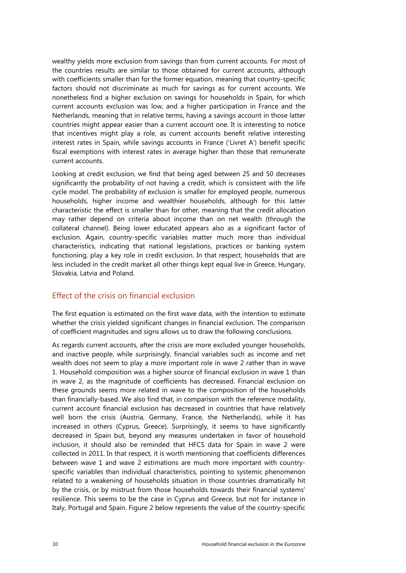wealthy yields more exclusion from savings than from current accounts. For most of the countries results are similar to those obtained for current accounts, although with coefficients smaller than for the former equation, meaning that country-specific factors should not discriminate as much for savings as for current accounts. We nonetheless find a higher exclusion on savings for households in Spain, for which current accounts exclusion was low, and a higher participation in France and the Netherlands, meaning that in relative terms, having a savings account in those latter countries might appear easier than a current account one. It is interesting to notice that incentives might play a role, as current accounts benefit relative interesting interest rates in Spain, while savings accounts in France ('Livret A') benefit specific fiscal exemptions with interest rates in average higher than those that remunerate current accounts.

Looking at credit exclusion, we find that being aged between 25 and 50 decreases significantly the probability of not having a credit, which is consistent with the life cycle model. The probability of exclusion is smaller for employed people, numerous households, higher income and wealthier households, although for this latter characteristic the effect is smaller than for other, meaning that the credit allocation may rather depend on criteria about income than on net wealth (through the collateral channel). Being lower educated appears also as a significant factor of exclusion. Again, country-specific variables matter much more than individual characteristics, indicating that national legislations, practices or banking system functioning, play a key role in credit exclusion. In that respect, households that are less included in the credit market all other things kept equal live in Greece, Hungary, Slovakia, Latvia and Poland.

#### Effect of the crisis on financial exclusion

The first equation is estimated on the first wave data, with the intention to estimate whether the crisis yielded significant changes in financial exclusion. The comparison of coefficient magnitudes and signs allows us to draw the following conclusions.

As regards current accounts, after the crisis are more excluded younger households, and inactive people, while surprisingly, financial variables such as income and net wealth does not seem to play a more important role in wave 2 rather than in wave 1. Household composition was a higher source of financial exclusion in wave 1 than in wave 2, as the magnitude of coefficients has decreased. Financial exclusion on these grounds seems more related in wave to the composition of the households than financially-based. We also find that, in comparison with the reference modality, current account financial exclusion has decreased in countries that have relatively well born the crisis (Austria, Germany, France, the Netherlands), while it has increased in others (Cyprus, Greece). Surprisingly, it seems to have significantly decreased in Spain but, beyond any measures undertaken in favor of household inclusion, it should also be reminded that HFCS data for Spain in wave 2 were collected in 2011. In that respect, it is worth mentioning that coefficients differences between wave 1 and wave 2 estimations are much more important with countryspecific variables than individual characteristics, pointing to systemic phenomenon related to a weakening of households situation in those countries dramatically hit by the crisis, or by mistrust from those households towards their financial systems' resilience. This seems to be the case in Cyprus and Greece, but not for instance in Italy, Portugal and Spain. Figure 2 below represents the value of the country-specific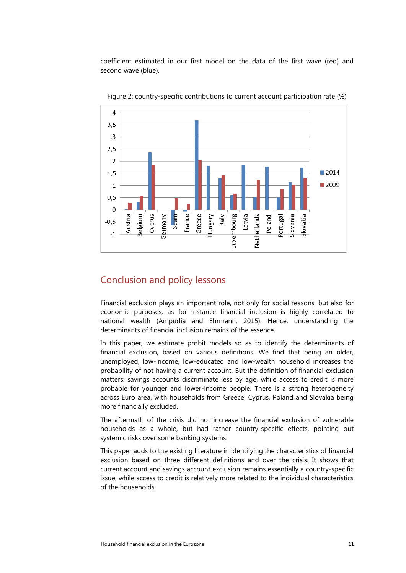coefficient estimated in our first model on the data of the first wave (red) and second wave (blue).



Figure 2: country-specific contributions to current account participation rate (%)

### Conclusion and policy lessons

Financial exclusion plays an important role, not only for social reasons, but also for economic purposes, as for instance financial inclusion is highly correlated to national wealth (Ampudia and Ehrmann, 2015). Hence, understanding the determinants of financial inclusion remains of the essence.

In this paper, we estimate probit models so as to identify the determinants of financial exclusion, based on various definitions. We find that being an older, unemployed, low-income, low-educated and low-wealth household increases the probability of not having a current account. But the definition of financial exclusion matters: savings accounts discriminate less by age, while access to credit is more probable for younger and lower-income people. There is a strong heterogeneity across Euro area, with households from Greece, Cyprus, Poland and Slovakia being more financially excluded.

The aftermath of the crisis did not increase the financial exclusion of vulnerable households as a whole, but had rather country-specific effects, pointing out systemic risks over some banking systems.

This paper adds to the existing literature in identifying the characteristics of financial exclusion based on three different definitions and over the crisis. It shows that current account and savings account exclusion remains essentially a country-specific issue, while access to credit is relatively more related to the individual characteristics of the households.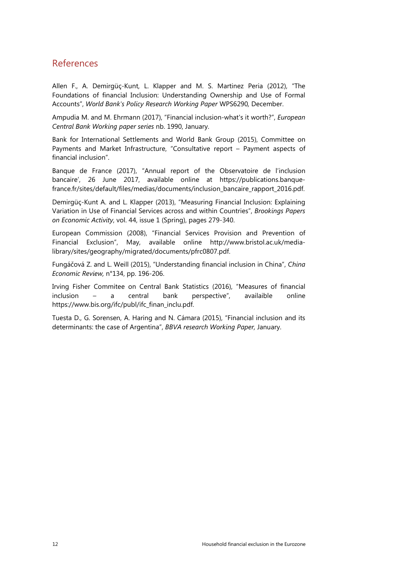### References

Allen F., A. Demirgüç-Kunt, L. Klapper and M. S. Martinez Peria (2012), "The Foundations of financial Inclusion: Understanding Ownership and Use of Formal Accounts", *World Bank's Policy Research Working Paper* WPS6290*,* December.

Ampudia M. and M. Ehrmann (2017), "Financial inclusion-what's it worth?", *European Central Bank Working paper series* nb. 1990, January.

Bank for International Settlements and World Bank Group (2015), Committee on Payments and Market Infrastructure, "Consultative report – Payment aspects of financial inclusion".

Banque de France (2017), "Annual report of the Observatoire de l'inclusion bancaire', 26 June 2017, available online at [https://publications.banque](https://publications.banque-france.fr/sites/default/files/medias/documents/inclusion_bancaire_rapport_2016.pdf)[france.fr/sites/default/files/medias/documents/inclusion\\_bancaire\\_rapport\\_2016.pdf.](https://publications.banque-france.fr/sites/default/files/medias/documents/inclusion_bancaire_rapport_2016.pdf)

Demirgüç-Kunt A. and L. Klapper (2013), "Measuring Financial Inclusion: Explaining Variation in Use of Financial Services across and within Countries", *Brookings Papers on Economic Activity*, vol. 44, issue 1 (Spring), pages 279-340.

European Commission (2008), "Financial Services Provision and Prevention of Financial Exclusion", May, available online [http://www.bristol.ac.uk/media](http://www.bristol.ac.uk/media-library/sites/geography/migrated/documents/pfrc0807.pdf)[library/sites/geography/migrated/documents/pfrc0807.pdf.](http://www.bristol.ac.uk/media-library/sites/geography/migrated/documents/pfrc0807.pdf)

Fungáčová Z. and L. Weill (2015), "Understanding financial inclusion in China", *China Economic Review,* n°134, pp. 196-206.

Irving Fisher Commitee on Central Bank Statistics (2016), "Measures of financial inclusion – a central bank perspective", availaible online [https://www.bis.org/ifc/publ/ifc\\_finan\\_inclu.pdf.](https://www.bis.org/ifc/publ/ifc_finan_inclu.pdf) 

Tuesta D., G. Sorensen, A. Haring and N. Cámara (2015), "Financial inclusion and its determinants: the case of Argentina", *BBVA research Working Paper,* January.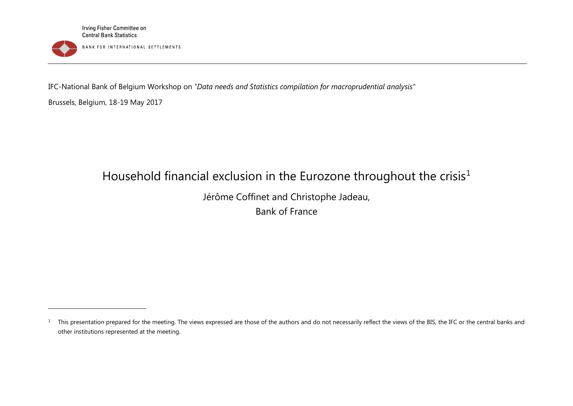<span id="page-13-0"></span>

IFC-National Bank of Belgium Workshop on *"Data needs and Statistics compilation for macroprudential analysis"*

Brussels, Belgium, 18-19 May 2017

1

# Household financial exclusion in the Eurozone throughout the crisis<sup>[1](#page-13-0)</sup>

Jérôme Coffinet and Christophe Jadeau, Bank of France

<sup>&</sup>lt;sup>1</sup> This presentation prepared for the meeting. The views expressed are those of the authors and do not necessarily reflect the views of the BIS, the IFC or the central banks and other institutions represented at the meeting.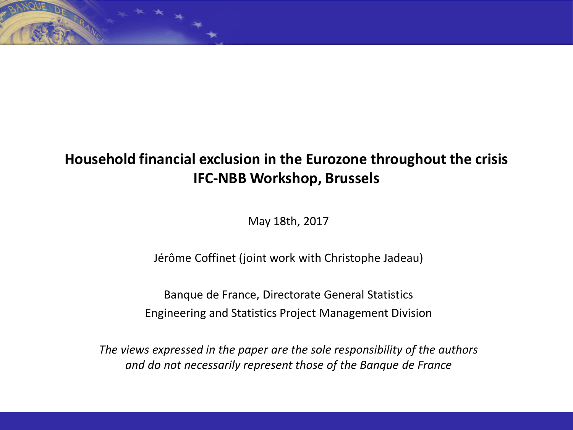# **Household financial exclusion in the Eurozone throughout the crisis IFC-NBB Workshop, Brussels**

May 18th, 2017

Jérôme Coffinet (joint work with Christophe Jadeau)

Banque de France, Directorate General Statistics Engineering and Statistics Project Management Division

*The views expressed in the paper are the sole responsibility of the authors and do not necessarily represent those of the Banque de France*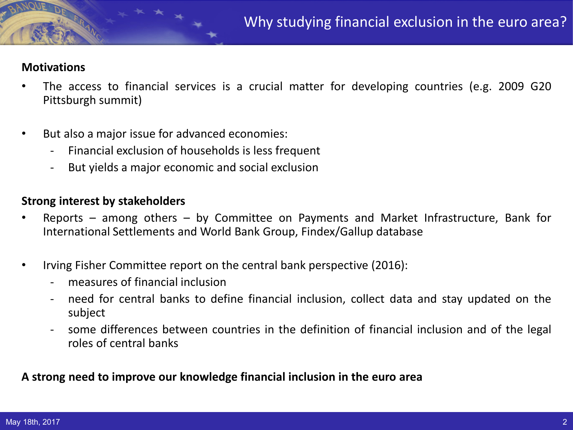### **Motivations**

- The access to financial services is a crucial matter for developing countries (e.g. 2009 G20 Pittsburgh summit)
- But also a major issue for advanced economies:
	- Financial exclusion of households is less frequent
	- But yields a major economic and social exclusion

### **Strong interest by stakeholders**

- Reports among others by Committee on Payments and Market Infrastructure, Bank for International Settlements and World Bank Group, Findex/Gallup database
- Irving Fisher Committee report on the central bank perspective (2016):
	- measures of financial inclusion
	- need for central banks to define financial inclusion, collect data and stay updated on the subject
	- some differences between countries in the definition of financial inclusion and of the legal roles of central banks

### **A strong need to improve our knowledge financial inclusion in the euro area**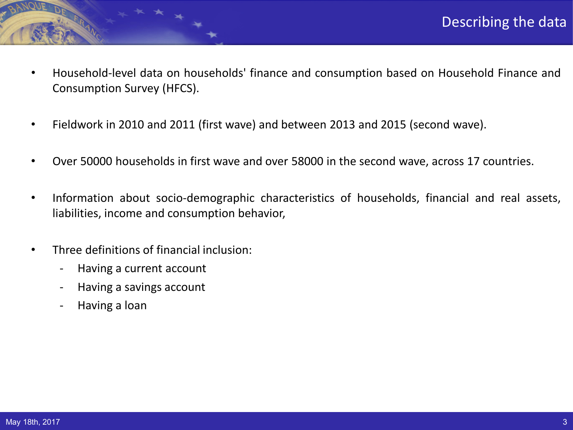- Household-level data on households' finance and consumption based on Household Finance and Consumption Survey (HFCS).
- Fieldwork in 2010 and 2011 (first wave) and between 2013 and 2015 (second wave).
- Over 50000 households in first wave and over 58000 in the second wave, across 17 countries.
- Information about socio-demographic characteristics of households, financial and real assets, liabilities, income and consumption behavior,
- Three definitions of financial inclusion:
	- Having a current account
	- Having a savings account
	- Having a loan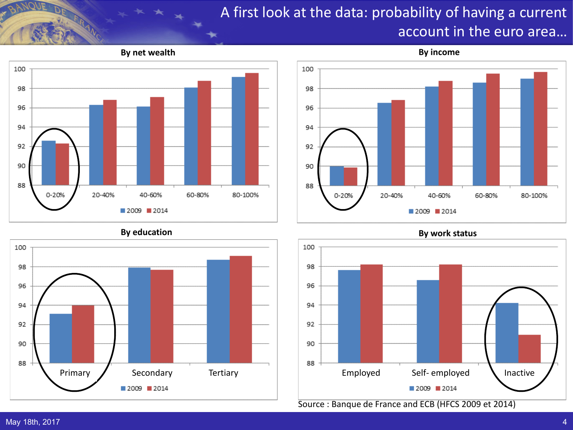# A first look at the data: probability of having a current account in the euro area…







Source : Banque de France and ECB (HFCS 2009 et 2014)

**By education By work status**

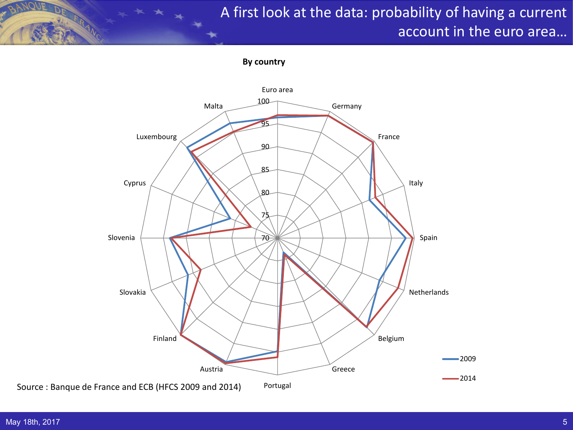# A first look at the data: probability of having a current account in the euro area…

**By country**

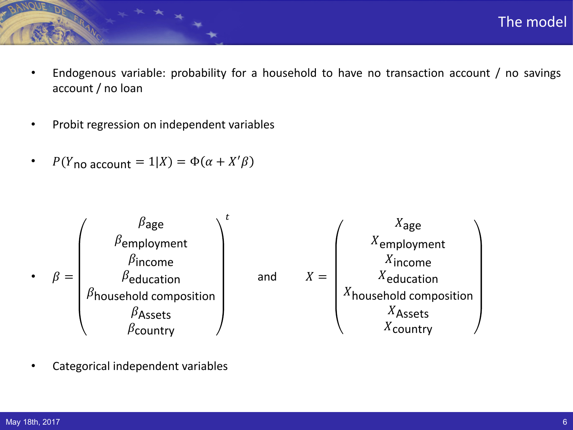- Endogenous variable: probability for a household to have no transaction account / no savings account / no loan
- Probit regression on independent variables
- $P(Y_{\text{no account}} = 1 | X) = \Phi(\alpha + X'\beta)$



• Categorical independent variables

The model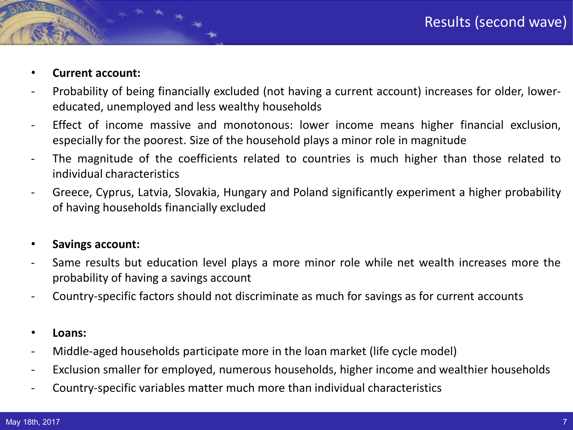## • **Current account:**

- Probability of being financially excluded (not having a current account) increases for older, lowereducated, unemployed and less wealthy households
- Effect of income massive and monotonous: lower income means higher financial exclusion, especially for the poorest. Size of the household plays a minor role in magnitude
- The magnitude of the coefficients related to countries is much higher than those related to individual characteristics
- Greece, Cyprus, Latvia, Slovakia, Hungary and Poland significantly experiment a higher probability of having households financially excluded

### • **Savings account:**

- Same results but education level plays a more minor role while net wealth increases more the probability of having a savings account
- Country-specific factors should not discriminate as much for savings as for current accounts
- **Loans:**
- Middle-aged households participate more in the loan market (life cycle model)
- Exclusion smaller for employed, numerous households, higher income and wealthier households
- Country-specific variables matter much more than individual characteristics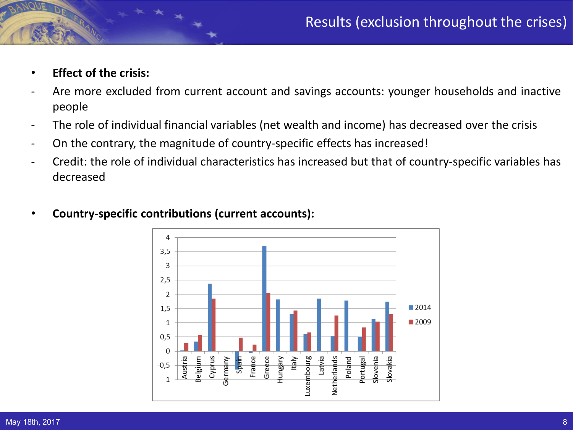- **Effect of the crisis:**
- Are more excluded from current account and savings accounts: younger households and inactive people
- The role of individual financial variables (net wealth and income) has decreased over the crisis
- On the contrary, the magnitude of country-specific effects has increased!
- Credit: the role of individual characteristics has increased but that of country-specific variables has decreased



### • **Country-specific contributions (current accounts):**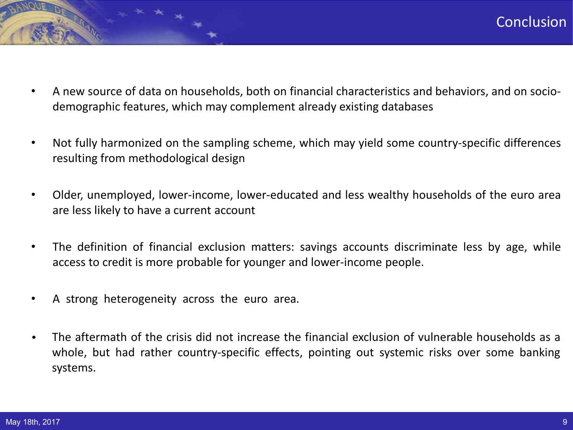- A new source of data on households, both on financial characteristics and behaviors, and on sociodemographic features, which may complement already existing databases
- Not fully harmonized on the sampling scheme, which may yield some country-specific differences resulting from methodological design
- Older, unemployed, lower-income, lower-educated and less wealthy households of the euro area are less likely to have a current account
- The definition of financial exclusion matters: savings accounts discriminate less by age, while access to credit is more probable for younger and lower-income people.
- A strong heterogeneity across the euro area.
- The aftermath of the crisis did not increase the financial exclusion of vulnerable households as a whole, but had rather country-specific effects, pointing out systemic risks over some banking systems.